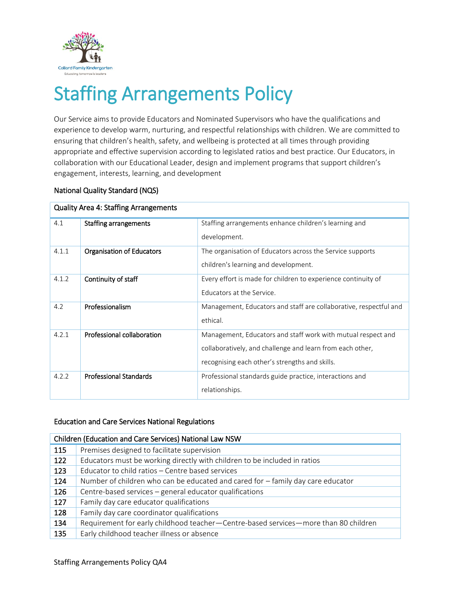

# Staffing Arrangements Policy

Our Service aims to provide Educators and Nominated Supervisors who have the qualifications and experience to develop warm, nurturing, and respectful relationships with children. We are committed to ensuring that children's health, safety, and wellbeing is protected at all times through providing appropriate and effective supervision according to legislated ratios and best practice. Our Educators, in collaboration with our Educational Leader, design and implement programs that support children's engagement, interests, learning, and development

# National Quality Standard (NQS)

| <b>Quality Area 4: Staffing Arrangements</b> |                               |                                                                   |  |  |
|----------------------------------------------|-------------------------------|-------------------------------------------------------------------|--|--|
| 4.1                                          | Staffing arrangements         | Staffing arrangements enhance children's learning and             |  |  |
|                                              |                               | development.                                                      |  |  |
| 4.1.1                                        | Organisation of Educators     | The organisation of Educators across the Service supports         |  |  |
|                                              |                               | children's learning and development.                              |  |  |
| 4.1.2                                        | Continuity of staff           | Every effort is made for children to experience continuity of     |  |  |
|                                              |                               | Educators at the Service.                                         |  |  |
| 4.2                                          | Professionalism               | Management, Educators and staff are collaborative, respectful and |  |  |
|                                              |                               | ethical.                                                          |  |  |
| 4.2.1                                        | Professional collaboration    | Management, Educators and staff work with mutual respect and      |  |  |
|                                              |                               | collaboratively, and challenge and learn from each other,         |  |  |
|                                              |                               | recognising each other's strengths and skills.                    |  |  |
| 4.2.2                                        | <b>Professional Standards</b> | Professional standards guide practice, interactions and           |  |  |
|                                              |                               | relationships.                                                    |  |  |

## Education and Care Services National Regulations

| Children (Education and Care Services) National Law NSW |                                                                                     |  |  |  |
|---------------------------------------------------------|-------------------------------------------------------------------------------------|--|--|--|
| 115                                                     | Premises designed to facilitate supervision                                         |  |  |  |
| 122                                                     | Educators must be working directly with children to be included in ratios           |  |  |  |
| 123                                                     | Educator to child ratios - Centre based services                                    |  |  |  |
| 124                                                     | Number of children who can be educated and cared for - family day care educator     |  |  |  |
| 126                                                     | Centre-based services - general educator qualifications                             |  |  |  |
| 127                                                     | Family day care educator qualifications                                             |  |  |  |
| 128                                                     | Family day care coordinator qualifications                                          |  |  |  |
| 134                                                     | Requirement for early childhood teacher-Centre-based services-more than 80 children |  |  |  |
| 135                                                     | Early childhood teacher illness or absence                                          |  |  |  |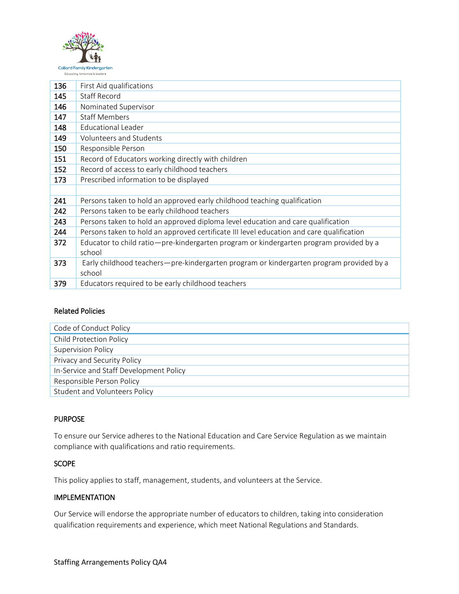

| 136 | First Aid qualifications                                                                 |
|-----|------------------------------------------------------------------------------------------|
| 145 | Staff Record                                                                             |
| 146 | Nominated Supervisor                                                                     |
| 147 | <b>Staff Members</b>                                                                     |
| 148 | <b>Educational Leader</b>                                                                |
| 149 | Volunteers and Students                                                                  |
| 150 | Responsible Person                                                                       |
| 151 | Record of Educators working directly with children                                       |
| 152 | Record of access to early childhood teachers                                             |
| 173 | Prescribed information to be displayed                                                   |
|     |                                                                                          |
| 241 | Persons taken to hold an approved early childhood teaching qualification                 |
| 242 | Persons taken to be early childhood teachers                                             |
| 243 | Persons taken to hold an approved diploma level education and care qualification         |
| 244 | Persons taken to hold an approved certificate III level education and care qualification |
| 372 | Educator to child ratio-pre-kindergarten program or kindergarten program provided by a   |
|     | school                                                                                   |
| 373 | Early childhood teachers—pre-kindergarten program or kindergarten program provided by a  |
|     | school                                                                                   |
| 379 | Educators required to be early childhood teachers                                        |

## Related Policies

| Code of Conduct Policy                  |  |  |
|-----------------------------------------|--|--|
| <b>Child Protection Policy</b>          |  |  |
| <b>Supervision Policy</b>               |  |  |
| Privacy and Security Policy             |  |  |
| In-Service and Staff Development Policy |  |  |
| Responsible Person Policy               |  |  |
| <b>Student and Volunteers Policy</b>    |  |  |

# **PURPOSE**

To ensure our Service adheres to the National Education and Care Service Regulation as we maintain compliance with qualifications and ratio requirements.

# **SCOPE**

This policy applies to staff, management, students, and volunteers at the Service.

# IMPLEMENTATION

Our Service will endorse the appropriate number of educators to children, taking into consideration qualification requirements and experience, which meet National Regulations and Standards.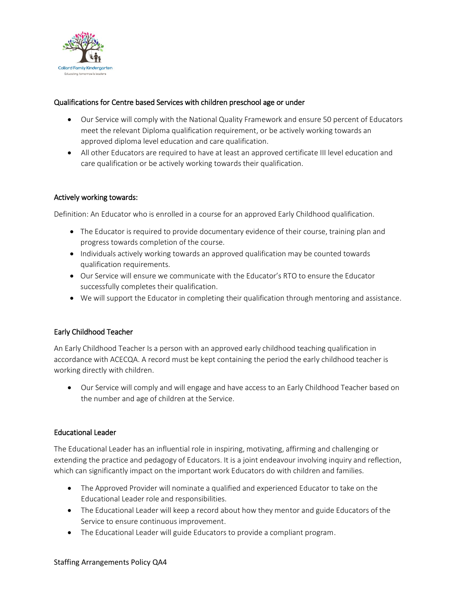

## Qualifications for Centre based Services with children preschool age or under

- Our Service will comply with the National Quality Framework and ensure 50 percent of Educators meet the relevant Diploma qualification requirement, or be actively working towards an approved diploma level education and care qualification.
- All other Educators are required to have at least an approved certificate III level education and care qualification or be actively working towards their qualification.

## Actively working towards:

Definition: An Educator who is enrolled in a course for an approved Early Childhood qualification.

- The Educator is required to provide documentary evidence of their course, training plan and progress towards completion of the course.
- Individuals actively working towards an approved qualification may be counted towards qualification requirements.
- Our Service will ensure we communicate with the Educator's RTO to ensure the Educator successfully completes their qualification.
- We will support the Educator in completing their qualification through mentoring and assistance.

# Early Childhood Teacher

An Early Childhood Teacher Is a person with an approved early childhood teaching qualification in accordance with ACECQA. A record must be kept containing the period the early childhood teacher is working directly with children.

 Our Service will comply and will engage and have access to an Early Childhood Teacher based on the number and age of children at the Service.

## Educational Leader

The Educational Leader has an influential role in inspiring, motivating, affirming and challenging or extending the practice and pedagogy of Educators. It is a joint endeavour involving inquiry and reflection, which can significantly impact on the important work Educators do with children and families.

- The Approved Provider will nominate a qualified and experienced Educator to take on the Educational Leader role and responsibilities.
- The Educational Leader will keep a record about how they mentor and guide Educators of the Service to ensure continuous improvement.
- The Educational Leader will guide Educators to provide a compliant program.

#### Staffing Arrangements Policy QA4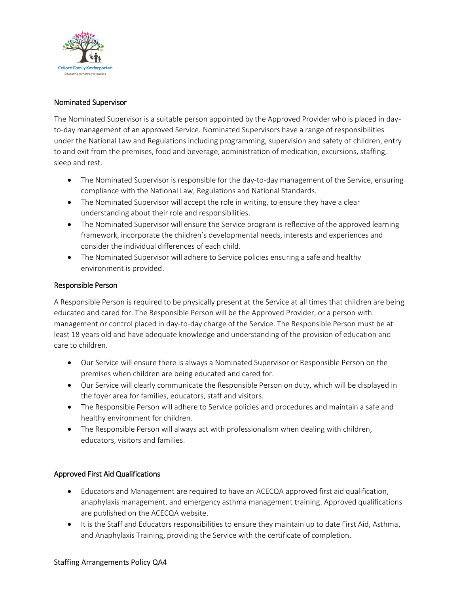

## Nominated Supervisor

The Nominated Supervisor is a suitable person appointed by the Approved Provider who is placed in dayto-day management of an approved Service. Nominated Supervisors have a range of responsibilities under the National Law and Regulations including programming, supervision and safety of children, entry to and exit from the premises, food and beverage, administration of medication, excursions, staffing, sleep and rest.

- The Nominated Supervisor is responsible for the day-to-day management of the Service, ensuring compliance with the National Law, Regulations and National Standards.
- The Nominated Supervisor will accept the role in writing, to ensure they have a clear understanding about their role and responsibilities.
- The Nominated Supervisor will ensure the Service program is reflective of the approved learning framework, incorporate the children's developmental needs, interests and experiences and consider the individual differences of each child.
- The Nominated Supervisor will adhere to Service policies ensuring a safe and healthy environment is provided.

## Responsible Person

A Responsible Person is required to be physically present at the Service at all times that children are being educated and cared for. The Responsible Person will be the Approved Provider, or a person with management or control placed in day-to-day charge of the Service. The Responsible Person must be at least 18 years old and have adequate knowledge and understanding of the provision of education and care to children.

- Our Service will ensure there is always a Nominated Supervisor or Responsible Person on the premises when children are being educated and cared for.
- Our Service will clearly communicate the Responsible Person on duty, which will be displayed in the foyer area for families, educators, staff and visitors.
- The Responsible Person will adhere to Service policies and procedures and maintain a safe and healthy environment for children.
- The Responsible Person will always act with professionalism when dealing with children, educators, visitors and families.

# Approved First Aid Qualifications

- Educators and Management are required to have an ACECQA approved first aid qualification, anaphylaxis management, and emergency asthma management training. Approved qualifications are published on the ACECQA website.
- It is the Staff and Educators responsibilities to ensure they maintain up to date First Aid, Asthma, and Anaphylaxis Training, providing the Service with the certificate of completion.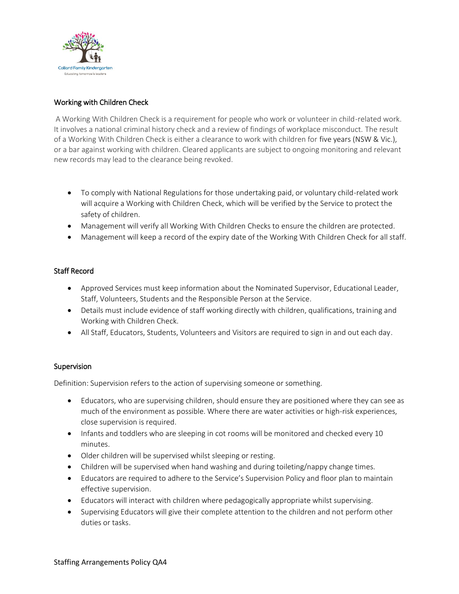

# Working with Children Check

A Working With Children Check is a requirement for people who work or volunteer in child-related work. It involves a national criminal history check and a review of findings of workplace misconduct. The result of a Working With Children Check is either a clearance to work with children for five years (NSW & Vic.), or a bar against working with children. Cleared applicants are subject to ongoing monitoring and relevant new records may lead to the clearance being revoked.

- To comply with National Regulations for those undertaking paid, or voluntary child-related work will acquire a Working with Children Check, which will be verified by the Service to protect the safety of children.
- Management will verify all Working With Children Checks to ensure the children are protected.
- Management will keep a record of the expiry date of the Working With Children Check for all staff.

## Staff Record

- Approved Services must keep information about the Nominated Supervisor, Educational Leader, Staff, Volunteers, Students and the Responsible Person at the Service.
- Details must include evidence of staff working directly with children, qualifications, training and Working with Children Check.
- All Staff, Educators, Students, Volunteers and Visitors are required to sign in and out each day.

## Supervision

Definition: Supervision refers to the action of supervising someone or something.

- Educators, who are supervising children, should ensure they are positioned where they can see as much of the environment as possible. Where there are water activities or high-risk experiences, close supervision is required.
- Infants and toddlers who are sleeping in cot rooms will be monitored and checked every 10 minutes.
- Older children will be supervised whilst sleeping or resting.
- Children will be supervised when hand washing and during toileting/nappy change times.
- Educators are required to adhere to the Service's Supervision Policy and floor plan to maintain effective supervision.
- Educators will interact with children where pedagogically appropriate whilst supervising.
- Supervising Educators will give their complete attention to the children and not perform other duties or tasks.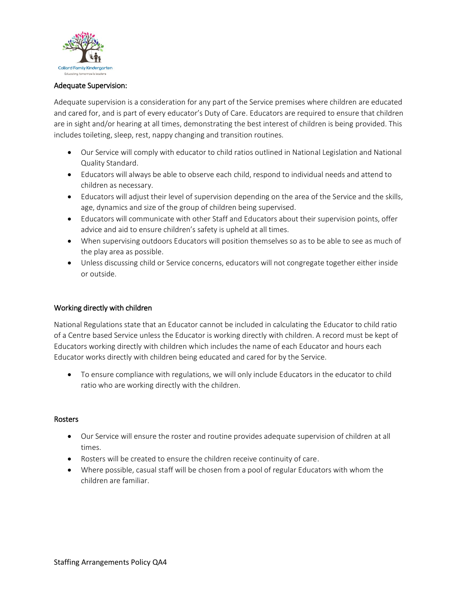

## Adequate Supervision:

Adequate supervision is a consideration for any part of the Service premises where children are educated and cared for, and is part of every educator's Duty of Care. Educators are required to ensure that children are in sight and/or hearing at all times, demonstrating the best interest of children is being provided. This includes toileting, sleep, rest, nappy changing and transition routines.

- Our Service will comply with educator to child ratios outlined in National Legislation and National Quality Standard.
- Educators will always be able to observe each child, respond to individual needs and attend to children as necessary.
- Educators will adjust their level of supervision depending on the area of the Service and the skills, age, dynamics and size of the group of children being supervised.
- Educators will communicate with other Staff and Educators about their supervision points, offer advice and aid to ensure children's safety is upheld at all times.
- When supervising outdoors Educators will position themselves so as to be able to see as much of the play area as possible.
- Unless discussing child or Service concerns, educators will not congregate together either inside or outside.

## Working directly with children

National Regulations state that an Educator cannot be included in calculating the Educator to child ratio of a Centre based Service unless the Educator is working directly with children. A record must be kept of Educators working directly with children which includes the name of each Educator and hours each Educator works directly with children being educated and cared for by the Service.

 To ensure compliance with regulations, we will only include Educators in the educator to child ratio who are working directly with the children.

## Rosters

- Our Service will ensure the roster and routine provides adequate supervision of children at all times.
- Rosters will be created to ensure the children receive continuity of care.
- Where possible, casual staff will be chosen from a pool of regular Educators with whom the children are familiar.